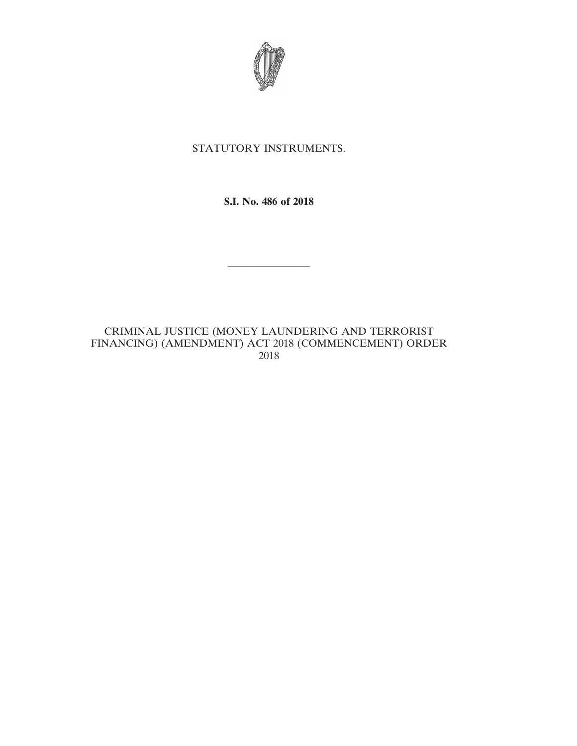

## STATUTORY INSTRUMENTS.

**S.I. No. 486 of 2018**

————————

CRIMINAL JUSTICE (MONEY LAUNDERING AND TERRORIST FINANCING) (AMENDMENT) ACT 2018 (COMMENCEMENT) ORDER 2018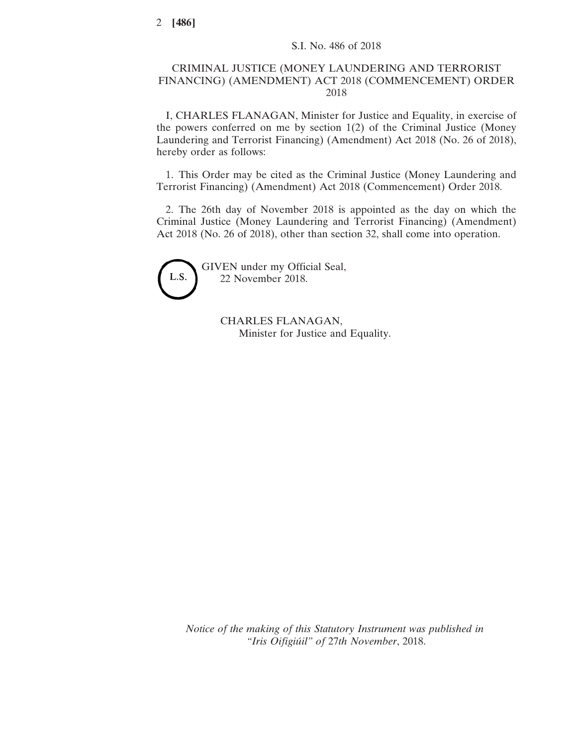## CRIMINAL JUSTICE (MONEY LAUNDERING AND TERRORIST FINANCING) (AMENDMENT) ACT 2018 (COMMENCEMENT) ORDER 2018

I, CHARLES FLANAGAN, Minister for Justice and Equality, in exercise of the powers conferred on me by section 1(2) of the Criminal Justice (Money Laundering and Terrorist Financing) (Amendment) Act 2018 (No. 26 of 2018), hereby order as follows:

1. This Order may be cited as the Criminal Justice (Money Laundering and Terrorist Financing) (Amendment) Act 2018 (Commencement) Order 2018.

2. The 26th day of November 2018 is appointed as the day on which the Criminal Justice (Money Laundering and Terrorist Financing) (Amendment) Act 2018 (No. 26 of 2018), other than section 32, shall come into operation.



GIVEN under my Official Seal, 22 November 2018.

> CHARLES FLANAGAN, Minister for Justice and Equality.

*Notice of the making of this Statutory Instrument was published in "Iris Oifigiúil" of* 27*th November*, 2018.